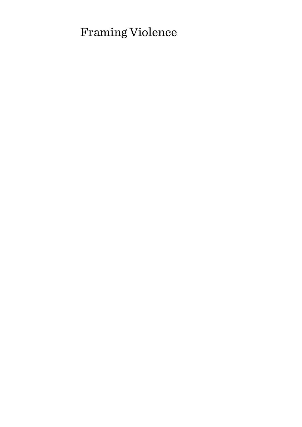# Framing Violence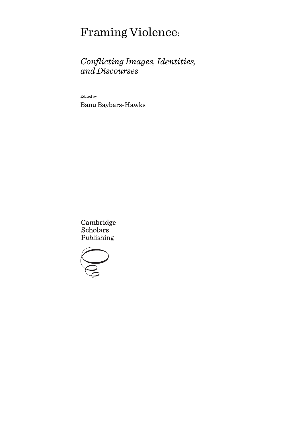# Framing Violence:

# *Conflicting Images, Identities, and Discourses*

Edited by

Banu Baybars-Hawks

Cambridge **Scholars** Publishing

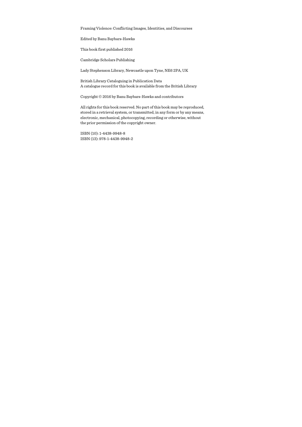Framing Violence: Conflicting Images, Identities, and Discourses

Edited by Banu Baybars-Hawks

This book first published 2016

Cambridge Scholars Publishing

Lady Stephenson Library, Newcastle upon Tyne, NE6 2PA, UK

British Library Cataloguing in Publication Data A catalogue record for this book is available from the British Library

Copyright © 2016 by Banu Baybars-Hawks and contributors

All rights for this book reserved. No part of this book may be reproduced, stored in a retrieval system, or transmitted, in any form or by any means, electronic, mechanical, photocopying, recording or otherwise, without the prior permission of the copyright owner.

ISBN (10): 1-4438-9948-8 ISBN (13): 978-1-4438-9948-2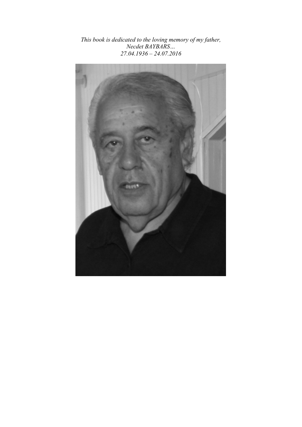*This book is dedicated to the loving memory of my father, Necdet BAYBARS… 27.04.1936 – 24.07.2016* 

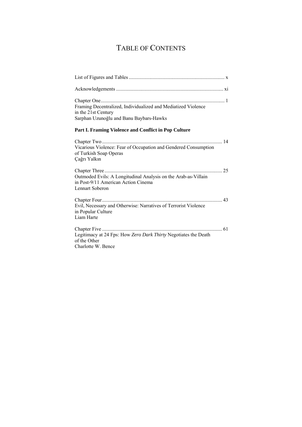# TABLE OF CONTENTS

| Framing Decentralized, Individualized and Mediatized Violence<br>in the 21st Century<br>Sarphan Uzunoğlu and Banu Baybars-Hawks |  |
|---------------------------------------------------------------------------------------------------------------------------------|--|
| Part I. Framing Violence and Conflict in Pop Culture                                                                            |  |
| Vicarious Violence: Fear of Occupation and Gendered Consumption<br>of Turkish Soap Operas<br>Çağrı Yalkın                       |  |
| 25<br>Outmoded Evils: A Longitudinal Analysis on the Arab-as-Villain<br>in Post-9/11 American Action Cinema<br>Lennart Soberon  |  |
| Evil, Necessary and Otherwise: Narratives of Terrorist Violence<br>in Popular Culture<br>Liam Harte                             |  |
| Legitimacy at 24 Fps: How Zero Dark Thirty Negotiates the Death<br>of the Other<br>Charlotte W. Bence                           |  |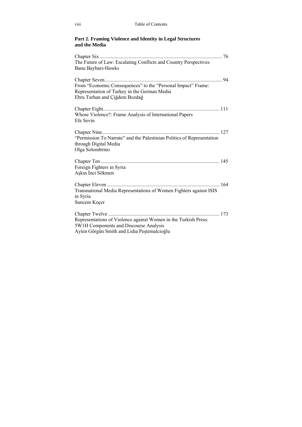### **Part 2. Framing Violence and Identity in Legal Structures and the Media**

| The Future of Law: Escalating Conflicts and Country Perspectives<br><b>Banu Baybars-Hawks</b> |    |
|-----------------------------------------------------------------------------------------------|----|
|                                                                                               |    |
|                                                                                               | 94 |
| From "Economic Consequences" to the "Personal Impact" Frame:                                  |    |
| Representation of Turkey in the German Media                                                  |    |
| Ebru Turhan and Çiğdem Bozdağ                                                                 |    |
|                                                                                               |    |
| Whose Violence?: Frame Analysis of International Papers                                       |    |
| Efe Sevin                                                                                     |    |
|                                                                                               |    |
| "Permission To Narrate" and the Palestinian Politics of Representation                        |    |
| through Digital Media                                                                         |    |
| Olga Solombrino                                                                               |    |
|                                                                                               |    |
| Foreign Fighters in Syria                                                                     |    |
| Aşkın İnci Sökmen                                                                             |    |
|                                                                                               |    |
| Transnational Media Representations of Women Fighters against ISIS                            |    |
| in Syria                                                                                      |    |
| Suncem Koçer                                                                                  |    |
|                                                                                               |    |
| Representations of Violence against Women in the Turkish Press:                               |    |
| 5W1H Components and Discourse Analysis                                                        |    |
| Ayten Görgün Smith and Lidia Peștemalcioğlu                                                   |    |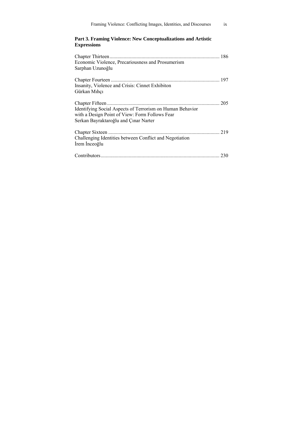| Framing Violence: Conflicting Images, Identities, and Discourses                                                                                     | ix |
|------------------------------------------------------------------------------------------------------------------------------------------------------|----|
| Part 3. Framing Violence: New Conceptualizations and Artistic<br><b>Expressions</b>                                                                  |    |
|                                                                                                                                                      |    |
| Economic Violence, Precariousness and Prosumerism<br>Sarphan Uzunoğlu                                                                                |    |
|                                                                                                                                                      |    |
| Insanity, Violence and Crisis: Cinnet Exhibiton<br>Gürkan Mıhçı                                                                                      |    |
|                                                                                                                                                      |    |
| Identifying Social Aspects of Terrorism on Human Behavior<br>with a Design Point of View: Form Follows Fear<br>Serkan Bayraktaroğlu and Çınar Narter |    |
|                                                                                                                                                      |    |
| Challenging Identities between Conflict and Negotiation<br>İrem İnceoğlu                                                                             |    |
|                                                                                                                                                      |    |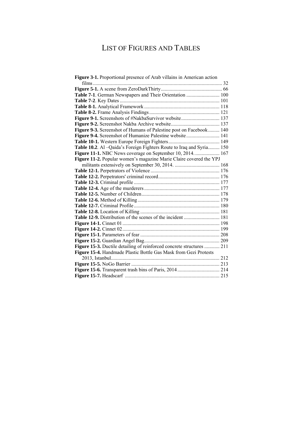# LIST OF FIGURES AND TABLES

| Figure 3-1. Proportional presence of Arab villains in American action |  |
|-----------------------------------------------------------------------|--|
|                                                                       |  |
|                                                                       |  |
| Table 7-1. German Newspapers and Their Orientation  100               |  |
|                                                                       |  |
|                                                                       |  |
|                                                                       |  |
| Figure 9-1. Screenshots of #NakbaSurvivor website 137                 |  |
|                                                                       |  |
| Figure 9-3. Screenshot of Humans of Palestine post on Facebook 140    |  |
| Figure 9-4. Screenshot of Humanize Palestine website 141              |  |
|                                                                       |  |
| Table 10.2. Al -Qaida's Foreign Fighters Route to Iraq and Syria 150  |  |
| Figure 11-1. NBC News coverage on September 10, 2014.  167            |  |
| Figure 11-2. Popular women's magazine Marie Claire covered the YPJ    |  |
|                                                                       |  |
|                                                                       |  |
|                                                                       |  |
|                                                                       |  |
|                                                                       |  |
|                                                                       |  |
|                                                                       |  |
|                                                                       |  |
|                                                                       |  |
| Table 12-9. Distribution of the scenes of the incident  181           |  |
|                                                                       |  |
|                                                                       |  |
|                                                                       |  |
|                                                                       |  |
| Figure 15-3. Ductile detailing of reinforced concrete structures  211 |  |
| Figure 15-4. Handmade Plastic Bottle Gas Mask from Gezi Protests      |  |
|                                                                       |  |
|                                                                       |  |
|                                                                       |  |
|                                                                       |  |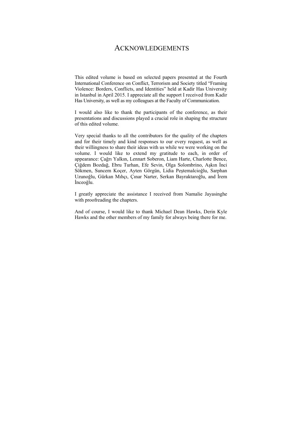### ACKNOWLEDGEMENTS

This edited volume is based on selected papers presented at the Fourth International Conference on Conflict, Terrorism and Society titled "Framing Violence: Borders, Conflicts, and Identities" held at Kadir Has University in Istanbul in April 2015. I appreciate all the support I received from Kadir Has University, as well as my colleagues at the Faculty of Communication.

I would also like to thank the participants of the conference, as their presentations and discussions played a crucial role in shaping the structure of this edited volume.

Very special thanks to all the contributors for the quality of the chapters and for their timely and kind responses to our every request, as well as their willingness to share their ideas with us while we were working on the volume. I would like to extend my gratitude to each, in order of appearance: Çağrı Yalkın, Lennart Soberon, Liam Harte, Charlotte Bence, Çiğdem Bozdağ, Ebru Turhan, Efe Sevin, Olga Solombrino, Aşkın İnci Sökmen, Suncem Koçer, Ayten Görgün, Lidia Peştemalcioğlu, Sarphan Uzunoğlu, Gürkan Mıhçı, Çınar Narter, Serkan Bayraktaroğlu, and İrem İnceoğlu.

I greatly appreciate the assistance I received from Namalie Jayasinghe with proofreading the chapters.

And of course, I would like to thank Michael Dean Hawks, Derin Kyle Hawks and the other members of my family for always being there for me.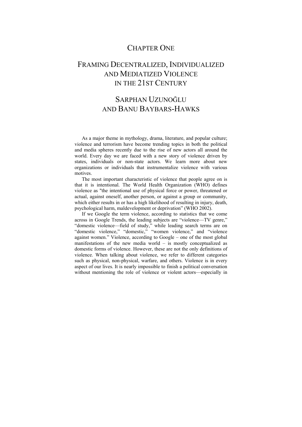### CHAPTER ONE

## FRAMING DECENTRALIZED, INDIVIDUALIZED AND MEDIATIZED VIOLENCE IN THE 21ST CENTURY

## SARPHAN UZUNOĞLU AND BANU BAYBARS-HAWKS

As a major theme in mythology, drama, literature, and popular culture; violence and terrorism have become trending topics in both the political and media spheres recently due to the rise of new actors all around the world. Every day we are faced with a new story of violence driven by states, individuals or non-state actors. We learn more about new organizations or individuals that instrumentalize violence with various motives.

The most important characteristic of violence that people agree on is that it is intentional. The World Health Organization (WHO) defines violence as "the intentional use of physical force or power, threatened or actual, against oneself, another person, or against a group or community, which either results in or has a high likelihood of resulting in injury, death, psychological harm, maldevelopment or deprivation" (WHO 2002).

If we Google the term violence, according to statistics that we come across in Google Trends, the leading subjects are "violence—TV genre," "domestic violence—field of study," while leading search terms are on "domestic violence," "domestic," "women violence," and "violence against women." Violence, according to Google – one of the most global manifestations of the new media world – is mostly conceptualized as domestic forms of violence. However, these are not the only definitions of violence. When talking about violence, we refer to different categories such as physical, non-physical, warfare, and others. Violence is in every aspect of our lives. It is nearly impossible to finish a political conversation without mentioning the role of violence or violent actors—especially in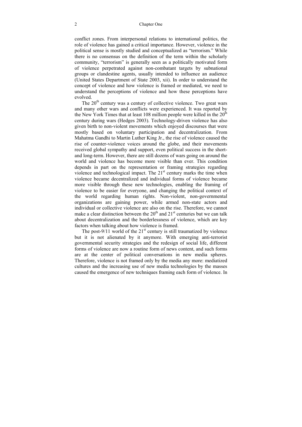conflict zones. From interpersonal relations to international politics, the role of violence has gained a critical importance. However, violence in the political sense is mostly studied and conceptualized as "terrorism." While there is no consensus on the definition of the term within the scholarly community, "terrorism" is generally seen as a politically motivated form of violence perpetrated against non-combatant targets by subnational groups or clandestine agents, usually intended to influence an audience (United States Department of State 2003, xii). In order to understand the concept of violence and how violence is framed or mediated, we need to understand the perceptions of violence and how these perceptions have evolved.

The  $20<sup>th</sup>$  century was a century of collective violence. Two great wars and many other wars and conflicts were experienced. It was reported by the New York Times that at least 108 million people were killed in the  $20<sup>th</sup>$ century during wars (Hedges 2003). Technology-driven violence has also given birth to non-violent movements which enjoyed discourses that were mostly based on voluntary participation and decentralization. From Mahatma Gandhi to Martin Luther King Jr., the rise of violence caused the rise of counter-violence voices around the globe, and their movements received global sympathy and support, even political success in the shortand long-term. However, there are still dozens of wars going on around the world and violence has become more visible than ever. This condition depends in part on the representation or framing strategies regarding violence and technological impact. The  $21<sup>st</sup>$  century marks the time when violence became decentralized and individual forms of violence became more visible through these new technologies, enabling the framing of violence to be easier for everyone, and changing the political context of the world regarding human rights. Non-violent, non-governmental organizations are gaining power, while armed non-state actors and individual or collective violence are also on the rise. Therefore, we cannot make a clear distinction between the  $20<sup>th</sup>$  and  $21<sup>st</sup>$  centuries but we can talk about decentralization and the borderlessness of violence, which are key factors when talking about how violence is framed.

The post-9/11 world of the  $21<sup>st</sup>$  century is still traumatized by violence but it is not alienated by it anymore. With emerging anti-terrorist governmental security strategies and the redesign of social life, different forms of violence are now a routine form of news content, and such forms are at the center of political conversations in new media spheres. Therefore, violence is not framed only by the media any more: mediatized cultures and the increasing use of new media technologies by the masses caused the emergence of new techniques framing each form of violence. In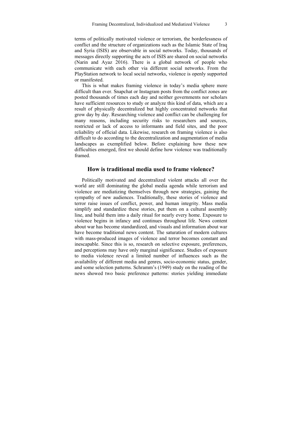terms of politically motivated violence or terrorism, the borderlessness of conflict and the structure of organizations such as the Islamic State of Iraq and Syria (ISIS) are observable in social networks. Today, thousands of messages directly supporting the acts of ISIS are shared on social networks (Narin and Ayaz 2016). There is a global network of people who communicate with each other via different social networks. From the PlayStation network to local social networks, violence is openly supported or manifested.

This is what makes framing violence in today's media sphere more difficult than ever. Snapchat or Instagram posts from the conflict zones are posted thousands of times each day and neither governments nor scholars have sufficient resources to study or analyze this kind of data, which are a result of physically decentralized but highly concentrated networks that grow day by day. Researching violence and conflict can be challenging for many reasons, including security risks to researchers and sources, restricted or lack of access to informants and field sites, and the poor reliability of official data. Likewise, research on framing violence is also difficult to do according to the decentralization and augmentation of media landscapes as exemplified below. Before explaining how these new difficulties emerged, first we should define how violence was traditionally framed.

#### **How is traditional media used to frame violence?**

Politically motivated and decentralized violent attacks all over the world are still dominating the global media agenda while terrorism and violence are mediatizing themselves through new strategies, gaining the sympathy of new audiences. Traditionally, these stories of violence and terror raise issues of conflict, power, and human integrity. Mass media simplify and standardize these stories, put them on a cultural assembly line, and build them into a daily ritual for nearly every home. Exposure to violence begins in infancy and continues throughout life. News content about war has become standardized, and visuals and information about war have become traditional news content. The saturation of modern cultures with mass-produced images of violence and terror becomes constant and inescapable. Since this is so, research on selective exposure, preferences, and perceptions may have only marginal significance. Studies of exposure to media violence reveal a limited number of influences such as the availability of different media and genres, socio-economic status, gender, and some selection patterns. Schramm's (1949) study on the reading of the news showed two basic preference patterns: stories yielding immediate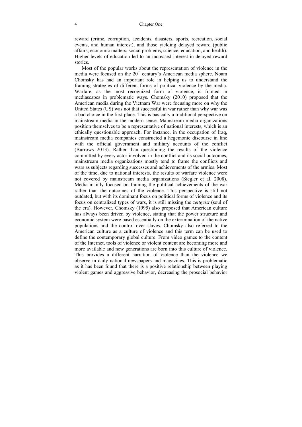reward (crime, corruption, accidents, disasters, sports, recreation, social events, and human interest), and those yielding delayed reward (public affairs, economic matters, social problems, science, education, and health). Higher levels of education led to an increased interest in delayed reward stories.

Most of the popular works about the representation of violence in the media were focused on the 20<sup>th</sup> century's American media sphere. Noam Chomsky has had an important role in helping us to understand the framing strategies of different forms of political violence by the media. Warfare, as the most recognized form of violence, is framed in mediascapes in problematic ways. Chomsky (2010) proposed that the American media during the Vietnam War were focusing more on why the United States (US) was not that successful in war rather than why war was a bad choice in the first place. This is basically a traditional perspective on mainstream media in the modern sense. Mainstream media organizations position themselves to be a representative of national interests, which is an ethically questionable approach. For instance, in the occupation of Iraq, mainstream media companies constructed a hegemonic discourse in line with the official government and military accounts of the conflict (Burrows 2013). Rather than questioning the results of the violence committed by every actor involved in the conflict and its social outcomes, mainstream media organizations mostly tend to frame the conflicts and wars as subjects regarding successes and achievements of the armies. Most of the time, due to national interests, the results of warfare violence were not covered by mainstream media organizations (Siegler et al. 2008). Media mainly focused on framing the political achievements of the war rather than the outcomes of the violence. This perspective is still not outdated, but with its dominant focus on political forms of violence and its focus on centralized types of wars, it is still missing the *zeitgeist* (soul of the era). However, Chomsky (1995) also proposed that American culture has always been driven by violence, stating that the power structure and economic system were based essentially on the extermination of the native populations and the control over slaves. Chomsky also referred to the American culture as a culture of violence and this term can be used to define the contemporary global culture. From video games to the content of the Internet, tools of violence or violent content are becoming more and more available and new generations are born into this culture of violence. This provides a different narration of violence than the violence we observe in daily national newspapers and magazines. This is problematic as it has been found that there is a positive relationship between playing violent games and aggressive behavior, decreasing the prosocial behavior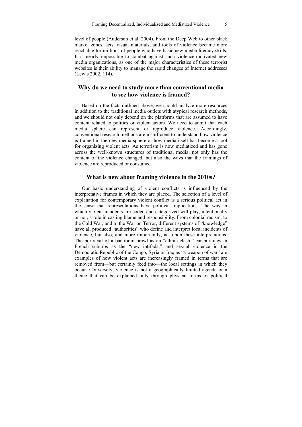level of people (Anderson et al. 2004). From the Deep Web to other black market zones, acts, visual materials, and tools of violence became more reachable for millions of people who have basic new media literacy skills. It is nearly impossible to combat against such violence-motivated new media organizations, as one of the major characteristics of these terrorist websites is their ability to manage the rapid changes of Internet addresses (Lewis 2002, 114).

### **Why do we need to study more than conventional media to see how violence is framed?**

Based on the facts outlined above, we should analyze more resources in addition to the traditional media outlets with atypical research methods, and we should not only depend on the platforms that are assumed to have content related to politics or violent actors. We need to admit that each media sphere can represent or reproduce violence. Accordingly, conventional research methods are insufficient to understand how violence is framed in the new media sphere or how media itself has become a tool for organizing violent acts. As terrorism is now mediatized and has gone across the well-known structures of traditional media, not only has the content of the violence changed, but also the ways that the framings of violence are reproduced or consumed.

#### **What is new about framing violence in the 2010s?**

Our basic understanding of violent conflicts is influenced by the interpretative frames in which they are placed. The selection of a level of explanation for contemporary violent conflict is a serious political act in the sense that representations have political implications. The way in which violent incidents are coded and categorized will play, intentionally or not, a role in casting blame and responsibility. From colonial racism, to the Cold War, and to the War on Terror, different systems of "knowledge" have all produced "authorities" who define and interpret local incidents of violence, but also, and more importantly, act upon these interpretations. The portrayal of a bar room brawl as an "ethnic clash," car-burnings in French suburbs as the "new intifada," and sexual violence in the Democratic Republic of the Congo, Syria or Iraq as "a weapon of war" are examples of how violent acts are increasingly framed in terms that are removed from—but certainly feed into—the local settings in which they occur. Conversely, violence is not a geographically limited agenda or a theme that can be explained only through physical forms or political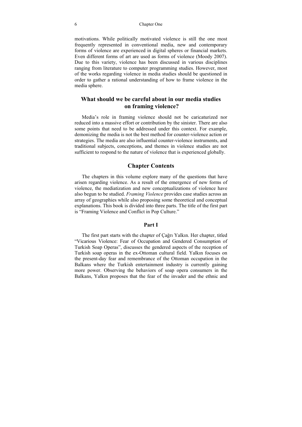#### 6 Chapter One

motivations. While politically motivated violence is still the one most frequently represented in conventional media, new and contemporary forms of violence are experienced in digital spheres or financial markets. Even different forms of art are used as forms of violence (Moody 2007). Due to this variety, violence has been discussed in various disciplines ranging from literature to computer programming studies. However, most of the works regarding violence in media studies should be questioned in order to gather a rational understanding of how to frame violence in the media sphere.

### **What should we be careful about in our media studies on framing violence?**

Media's role in framing violence should not be caricaturized nor reduced into a massive effort or contribution by the sinister. There are also some points that need to be addressed under this context. For example, demonizing the media is not the best method for counter-violence action or strategies. The media are also influential counter-violence instruments, and traditional subjects, conceptions, and themes in violence studies are not sufficient to respond to the nature of violence that is experienced globally.

#### **Chapter Contents**

The chapters in this volume explore many of the questions that have arisen regarding violence. As a result of the emergence of new forms of violence, the mediatization and new conceptualizations of violence have also begun to be studied. *Framing Violence* provides case studies across an array of geographies while also proposing some theoretical and conceptual explanations. This book is divided into three parts. The title of the first part is "Framing Violence and Conflict in Pop Culture."

#### **Part I**

The first part starts with the chapter of Çağrı Yalkın. Her chapter, titled "Vicarious Violence: Fear of Occupation and Gendered Consumption of Turkish Soap Operas", discusses the gendered aspects of the reception of Turkish soap operas in the ex-Ottoman cultural field. Yalkın focuses on the present-day fear and remembrance of the Ottoman occupation in the Balkans where the Turkish entertainment industry is currently gaining more power. Observing the behaviors of soap opera consumers in the Balkans, Yalkın proposes that the fear of the invader and the ethnic and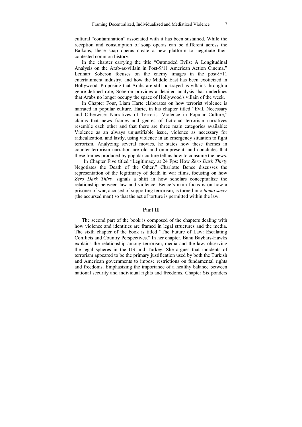cultural "contamination" associated with it has been sustained. While the reception and consumption of soap operas can be different across the Balkans, these soap operas create a new platform to negotiate their contested common history.

In the chapter carrying the title "Outmoded Evils: A Longitudinal Analysis on the Arab-as-villain in Post-9/11 American Action Cinema," Lennart Soberon focuses on the enemy images in the post-9/11 entertainment industry, and how the Middle East has been exoticized in Hollywood. Proposing that Arabs are still portrayed as villains through a genre-defined role, Soberon provides a detailed analysis that underlines that Arabs no longer occupy the space of Hollywood's villain of the week.

In Chapter Four, Liam Harte elaborates on how terrorist violence is narrated in popular culture. Harte, in his chapter titled "Evil, Necessary and Otherwise: Narratives of Terrorist Violence in Popular Culture," claims that news frames and genres of fictional terrorism narratives resemble each other and that there are three main categories available: Violence as an always unjustifiable issue, violence as necessary for radicalization, and lastly, using violence in an emergency situation to fight terrorism. Analyzing several movies, he states how these themes in counter-terrorism narration are old and omnipresent, and concludes that these frames produced by popular culture tell us how to consume the news.

 In Chapter Five titled "Legitimacy at 24 Fps: How *Zero Dark Thirty*  Negotiates the Death of the Other," Charlotte Bence discusses the representation of the legitimacy of death in war films, focusing on how *Zero Dark Thirty* signals a shift in how scholars conceptualize the relationship between law and violence. Bence's main focus is on how a prisoner of war, accused of supporting terrorism, is turned into *homo sacer*  (the accursed man) so that the act of torture is permitted within the law.

#### **Part II**

The second part of the book is composed of the chapters dealing with how violence and identities are framed in legal structures and the media. The sixth chapter of the book is titled "The Future of Law: Escalating Conflicts and Country Perspectives." In her chapter, Banu Baybars-Hawks explains the relationship among terrorism, media and the law, observing the legal spheres in the US and Turkey. She argues that incidents of terrorism appeared to be the primary justification used by both the Turkish and American governments to impose restrictions on fundamental rights and freedoms. Emphasizing the importance of a healthy balance between national security and individual rights and freedoms, Chapter Six ponders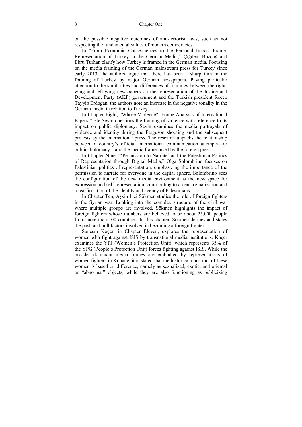on the possible negative outcomes of anti-terrorist laws, such as not respecting the fundamental values of modern democracies.

In "From Economic Consequences to the Personal Impact Frame: Representation of Turkey in the German Media," Çiğdem Bozdağ and Ebru Turhan clarify how Turkey is framed in the German media. Focusing on the media framing of the German mainstream press for Turkey since early 2013, the authors argue that there has been a sharp turn in the framing of Turkey by major German newspapers. Paying particular attention to the similarities and differences of framings between the rightwing and left-wing newspapers on the representation of the Justice and Development Party (AKP) government and the Turkish president Recep Tayyip Erdoğan, the authors note an increase in the negative tonality in the German media in relation to Turkey.

In Chapter Eight, "Whose Violence?: Frame Analysis of International Papers," Efe Sevin questions the framing of violence with reference to its impact on public diplomacy. Sevin examines the media portrayals of violence and identity during the Ferguson shooting and the subsequent protests by the international press. The research unpacks the relationship between a country's official international communication attempts—or public diplomacy—and the media frames used by the foreign press.

In Chapter Nine, "'Permission to Narrate' and the Palestinian Politics of Representation through Digital Media," Olga Solombrino focuses on Palestinian politics of representation, emphasizing the importance of the permission to narrate for everyone in the digital sphere. Solombrino sees the configuration of the new media environment as the new space for expression and self-representation, contributing to a demarginalization and a reaffirmation of the identity and agency of Palestinians.

In Chapter Ten, Aşkin İnci Sökmen studies the role of foreign fighters in the Syrian war. Looking into the complex structure of the civil war where multiple groups are involved, Sökmen highlights the impact of foreign fighters whose numbers are believed to be about 25,000 people from more than 100 countries. In this chapter, Sökmen defines and states the push and pull factors involved in becoming a foreign fighter.

Suncem Koçer, in Chapter Eleven, explores the representation of women who fight against ISIS by transnational media institutions. Koçer examines the YPJ (Women's Protection Unit), which represents 35% of the YPG (People's Protection Unit) forces fighting against ISIS. While the broader dominant media frames are embodied by representations of women fighters in Kobane, it is stated that the historical construct of these women is based on difference, namely as sexualized, exotic, and oriental or "abnormal" objects, while they are also functioning as publicizing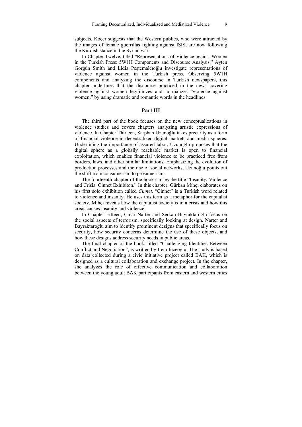subjects. Koçer suggests that the Western publics, who were attracted by the images of female guerrillas fighting against ISIS, are now following the Kurdish stance in the Syrian war.

In Chapter Twelve, titled "Representations of Violence against Women in the Turkish Press: 5W1H Components and Discourse Analysis," Ayten Görgün Smith and Lidia Peştemalcıoğlu investigate representations of violence against women in the Turkish press. Observing 5W1H components and analyzing the discourse in Turkish newspapers, this chapter underlines that the discourse practiced in the news covering violence against women legitimizes and normalizes "violence against women," by using dramatic and romantic words in the headlines.

#### **Part III**

The third part of the book focuses on the new conceptualizations in violence studies and covers chapters analyzing artistic expressions of violence. In Chapter Thirteen, Sarphan Uzunoğlu takes precarity as a form of financial violence in decentralized digital markets and media spheres. Underlining the importance of assured labor, Uzunoğlu proposes that the digital sphere as a globally reachable market is open to financial exploitation, which enables financial violence to be practiced free from borders, laws, and other similar limitations. Emphasizing the evolution of production processes and the rise of social networks, Uzunoğlu points out the shift from consumerism to prosumerism.

The fourteenth chapter of the book carries the title "Insanity, Violence and Crisis: Cinnet Exhibiton." In this chapter, Gürkan Mıhçı elaborates on his first solo exhibition called *Cinnet.* "Cinnet" is a Turkish word related to violence and insanity. He uses this term as a metaphor for the capitalist society. Mıhçı reveals how the capitalist society is in a crisis and how this crisis causes insanity and violence.

In Chapter Fifteen, Çınar Narter and Serkan Bayraktaroğlu focus on the social aspects of terrorism, specifically looking at design. Narter and Bayraktaroğlu aim to identify prominent designs that specifically focus on security, how security concerns determine the use of these objects, and how these designs address security needs in public areas.

The final chapter of the book, titled "Challenging Identities Between Conflict and Negotiation", is written by İrem İnceoğlu. The study is based on data collected during a civic initiative project called BAK, which is designed as a cultural collaboration and exchange project. In the chapter, she analyzes the role of effective communication and collaboration between the young adult BAK participants from eastern and western cities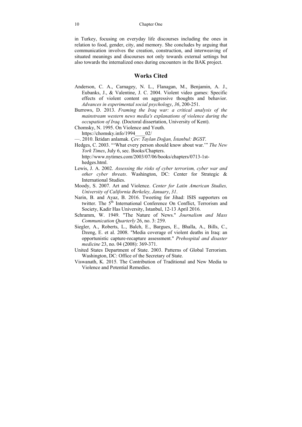in Turkey, focusing on everyday life discourses including the ones in relation to food, gender, city, and memory. She concludes by arguing that communication involves the creation, construction, and interweaving of situated meanings and discourses not only towards external settings but also towards the internalized ones during encounters in the BAK project.

### **Works Cited**

- Anderson, C. A., Carnagey, N. L., Flanagan, M., Benjamin, A. J., Eubanks, J., & Valentine, J. C. 2004. Violent video games: Specific effects of violent content on aggressive thoughts and behavior. *Advances in experimental social psychology*, *36*, 200-251.
- Burrows, D. 2013. *Framing the Iraq war: a critical analysis of the mainstream western news media's explanations of violence during the occupation of Iraq.* (Doctoral dissertation, University of Kent).
- Chomsky, N. 1995. On Violence and Youth. https://chomsky.info/1994\_\_\_\_02/
- —. 2010. İktidarı anlamak. *Çev: Taylan Doğan, İstanbul: BGST*.
- Hedges, C. 2003. "'What every person should know about war.'" *The New York Times*, July 6, sec. Books/Chapters. http://www.nytimes.com/2003/07/06/books/chapters/0713-1sthedges.html.
- Lewis, J. A. 2002. *Assessing the risks of cyber terrorism, cyber war and other cyber threats*. Washington, DC: Center for Strategic & International Studies.
- Moody, S. 2007. Art and Violence. *Center for Latin American Studies, University of California Berkeley, January*, *31*.
- Narin, B. and Ayaz, B. 2016. Tweeting for Jihad: ISIS supporters on twitter. The 5<sup>th</sup> International Conference On Conflict, Terrorism and Society, Kadir Has University, Istanbul, 12-13 April 2016.
- Schramm, W. 1949. "The Nature of News." *Journalism and Mass Communication Quarterly* 26, no. 3: 259.
- Siegler, A., Roberts, L., Balch, E., Bargues, E., Bhalla, A., Bills, C., Dzeng, E. et al. 2008. "Media coverage of violent deaths in Iraq: an opportunistic capture-recapture assessment." *Prehospital and disaster medicine* 23, no. 04 (2008): 369-371.
- United States Department of State. 2003. Patterns of Global Terrorism. Washington, DC: Office of the Secretary of State.
- Viswanath, K. 2015. The Contribution of Traditional and New Media to Violence and Potential Remedies.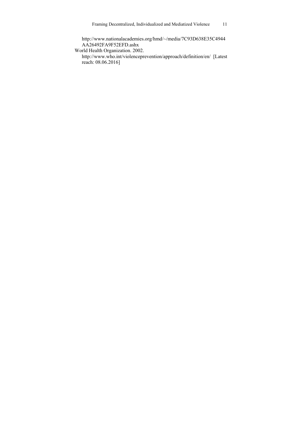http://www.nationalacademies.org/hmd/~/media/7C93D638E35C4944 AA26492FA9F52EFD.ashx

World Health Organization. 2002.

 http://www.who.int/violenceprevention/approach/definition/en/ [Latest reach: 08.06.2016]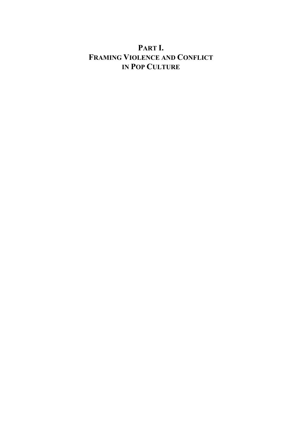# **PART I. FRAMING VIOLENCE AND CONFLICT IN POP CULTURE**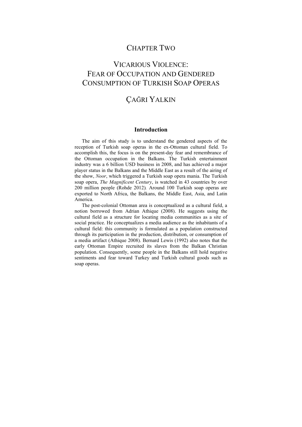### CHAPTER TWO

# VICARIOUS VIOLENCE: FEAR OF OCCUPATION AND GENDERED CONSUMPTION OF TURKISH SOAP OPERAS

### ÇAĞRI YALKIN

### **Introduction**

The aim of this study is to understand the gendered aspects of the reception of Turkish soap operas in the ex-Ottoman cultural field. To accomplish this, the focus is on the present-day fear and remembrance of the Ottoman occupation in the Balkans. The Turkish entertainment industry was a 6 billion USD business in 2008, and has achieved a major player status in the Balkans and the Middle East as a result of the airing of the show, *Noor*, which triggered a Turkish soap opera mania. The Turkish soap opera, *The Magnificent Century*, is watched in 43 countries by over 200 million people (Rohde 2012)*.* Around 100 Turkish soap operas are exported to North Africa, the Balkans, the Middle East, Asia, and Latin America.

The post-colonial Ottoman area is conceptualized as a cultural field, a notion borrowed from Adrian Athique (2008). He suggests using the cultural field as a structure for locating media communities as a site of social practice. He conceptualizes a media audience as the inhabitants of a cultural field: this community is formulated as a population constructed through its participation in the production, distribution, or consumption of a media artifact (Athique 2008). Bernard Lewis (1992) also notes that the early Ottoman Empire recruited its slaves from the Balkan Christian population. Consequently, some people in the Balkans still hold negative sentiments and fear toward Turkey and Turkish cultural goods such as soap operas.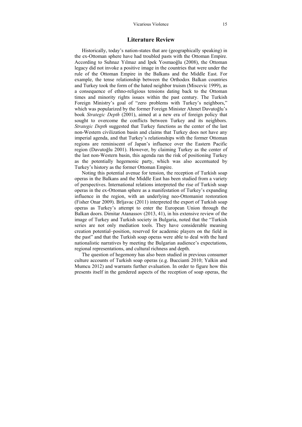#### **Literature Review**

Historically, today's nation-states that are (geographically speaking) in the ex-Ottoman sphere have had troubled pasts with the Ottoman Empire. According to Suhnaz Yılmaz and Ipek Yosmaoğlu (2008), the Ottoman legacy did not invoke a positive image in the countries that were under the rule of the Ottoman Empire in the Balkans and the Middle East. For example, the tense relationship between the Orthodox Balkan countries and Turkey took the form of the hated neighbor truism (Miscevic 1999), as a consequence of ethno-religious tensions dating back to the Ottoman times and minority rights issues within the past century. The Turkish Foreign Ministry's goal of "zero problems with Turkey's neighbors," which was popularized by the former Foreign Minister Ahmet Davutoğlu's book *Strategic Depth* (2001), aimed at a new era of foreign policy that sought to overcome the conflicts between Turkey and its neighbors. *Strategic Depth* suggested that Turkey functions as the center of the last non-Western civilization basin and claims that Turkey does not have any imperial agenda, and that Turkey's relationships with the former Ottoman regions are reminiscent of Japan's influence over the Eastern Pacific region (Davutoğlu 2001). However, by claiming Turkey as the center of the last non-Western basin, this agenda ran the risk of positioning Turkey as the potentially hegemonic party, which was also accentuated by Turkey's history as the former Ottoman Empire.

Noting this potential avenue for tension, the reception of Turkish soap operas in the Balkans and the Middle East has been studied from a variety of perspectives. International relations interpreted the rise of Turkish soap operas in the ex-Ottoman sphere as a manifestation of Turkey's expanding influence in the region, with an underlying neo-Ottomanist restoration (Fisher Onar 2009). Brljavac (2011) interpreted the export of Turkish soap operas as Turkey's attempt to enter the European Union through the Balkan doors. Dimitar Atanassov (2013, 41), in his extensive review of the image of Turkey and Turkish society in Bulgaria, noted that the "Turkish series are not only mediation tools. They have considerable meaning creation potential–position, reserved for academic players on the field in the past" and that the Turkish soap operas were able to deal with the hard nationalistic narratives by meeting the Bulgarian audience's expectations, regional representations, and cultural richness and depth.

The question of hegemony has also been studied in previous consumer culture accounts of Turkish soap operas (e.g. Buccianti 2010; Yalkin and Mumcu 2012) and warrants further evaluation. In order to figure how this presents itself in the gendered aspects of the reception of soap operas, the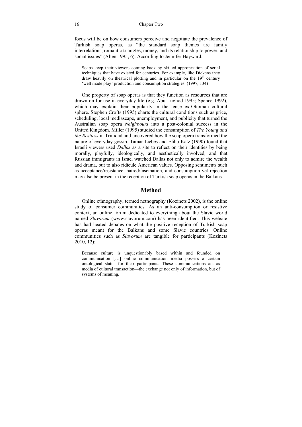focus will be on how consumers perceive and negotiate the prevalence of Turkish soap operas, as "the standard soap themes are family interrelations, romantic triangles, money, and its relationship to power, and social issues" (Allen 1995, 6). According to Jennifer Hayward:

Soaps keep their viewers coming back by skilled appropriation of serial techniques that have existed for centuries. For example, like Dickens they draw heavily on theatrical plotting and in particular on the 19<sup>th</sup> century 'well made play' production and consumption strategies. (1997, 134)

One property of soap operas is that they function as resources that are drawn on for use in everyday life (e.g. Abu-Lughod 1995; Spence 1992), which may explain their popularity in the tense ex-Ottoman cultural sphere. Stephen Crofts (1995) charts the cultural conditions such as price, scheduling, local mediascape, unemployment, and publicity that turned the Australian soap opera *Neighbours* into a post-colonial success in the United Kingdom. Miller (1995) studied the consumption of *The Young and the Restless* in Trinidad and uncovered how the soap opera transformed the nature of everyday gossip. Tamar Liebes and Elihu Katz (1990) found that Israeli viewers used *Dallas* as a site to reflect on their identities by being morally, playfully, ideologically, and aesthetically involved, and that Russian immigrants in Israel watched Dallas not only to admire the wealth and drama, but to also ridicule American values. Opposing sentiments such as acceptance/resistance, hatred/fascination, and consumption yet rejection may also be present in the reception of Turkish soap operas in the Balkans.

### **Method**

Online ethnography, termed netnography (Kozinets 2002), is the online study of consumer communities. As an anti-consumption or resistive context, an online forum dedicated to everything about the Slavic world named *Slavorum* (www.slavorum.com) has been identified. This website has had heated debates on what the positive reception of Turkish soap operas meant for the Balkans and some Slavic countries. Online communities such as *Slavorum* are tangible for participants (Kozinets 2010, 12):

Because culture is unquestionably based within and founded on communication […] online communication media possess a certain ontological status for their participants. These communications act as media of cultural transaction—the exchange not only of information, but of systems of meaning.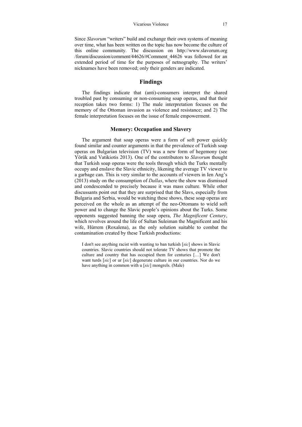Since *Slavorum* "writers" build and exchange their own systems of meaning over time, what has been written on the topic has now become the culture of this online community. The discussion on http://www.slavorum.org /forum/discussion/comment/44626/#Comment\_44626 was followed for an extended period of time for the purposes of netnography. The writers' nicknames have been removed; only their genders are indicated.

### **Findings**

The findings indicate that (anti)-consumers interpret the shared troubled past by consuming or non-consuming soap operas, and that their reception takes two forms: 1) The male interpretation focuses on the memory of the Ottoman invasion as violence and resistance; and 2) The female interpretation focuses on the issue of female empowerment.

#### **Memory: Occupation and Slavery**

The argument that soap operas were a form of soft power quickly found similar and counter arguments in that the prevalence of Turkish soap operas on Bulgarian television (TV) was a new form of hegemony (see Yörük and Vatikiotis 2013). One of the contributors to *Slavorum* thought that Turkish soap operas were the tools through which the Turks mentally occupy and enslave the Slavic ethnicity, likening the average TV viewer to a garbage can. This is very similar to the accounts of viewers in Ien Ang's (2013) study on the consumption of *Dallas*, where the show was dismissed and condescended to precisely because it was mass culture. While other discussants point out that they are surprised that the Slavs, especially from Bulgaria and Serbia, would be watching these shows, these soap operas are perceived on the whole as an attempt of the neo-Ottomans to wield soft power and to change the Slavic people's opinions about the Turks. Some opponents suggested banning the soap opera, *The Magnificent Century*, which revolves around the life of Sultan Suleiman the Magnificent and his wife, Hürrem (Roxalena), as the only solution suitable to combat the contamination created by these Turkish productions:

I don't see anything racist with wanting to ban turkish [*sic*] shows in Slavic countries. Slavic countries should not tolerate TV shows that promote the culture and country that has occupied them for centuries […] We don't want turds [*sic*] or ur [*sic*] degenerate culture in our countries. Nor do we have anything in common with u [*sic*] mongrels. (Male)